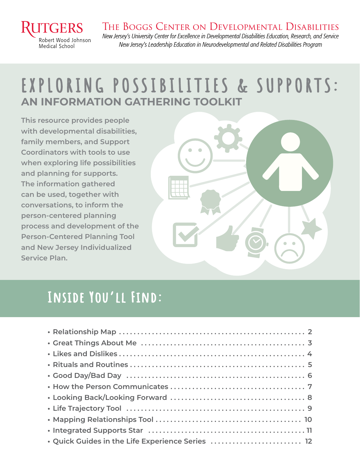

### THE BOGGS CENTER ON DEVELOPMENTAL DISABILITIES

New Jersey's University Center for Excellence in Developmental Disabilities Education, Research, and Service New Jersey's Leadership Education in Neurodevelopmental and Related Disabilities Program

## **AN INFORMATION GATHERING TOOLKIT**  EXPLORING POSSIBILITIES & SUPPORTS:

**This resource provides people with developmental disabilities, family members, and Support Coordinators with tools to use when exploring life possibilities and planning for supports. The information gathered can be used, together with conversations, to inform the person-centered planning process and development of the Person-Centered Planning Tool and New Jersey Individualized Service Plan.**



## **Inside You'll Find:**

| . Quick Guides in the Life Experience Series  12 |
|--------------------------------------------------|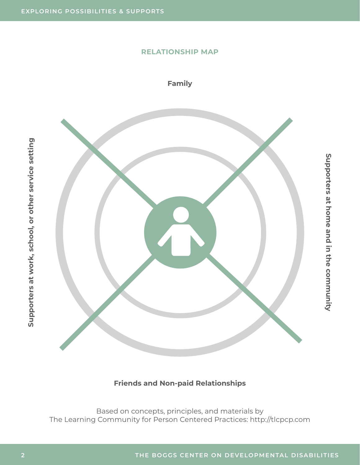#### **RELATIONSHIP MAP**

**Family**



#### **Friends and Non-paid Relationships**

Based on concepts, principles, and materials by The Learning Community for Person Centered Practices: http://tlcpcp.com

**Supporters at work, school, or other service setting**

Supporters at work, school, or other service setting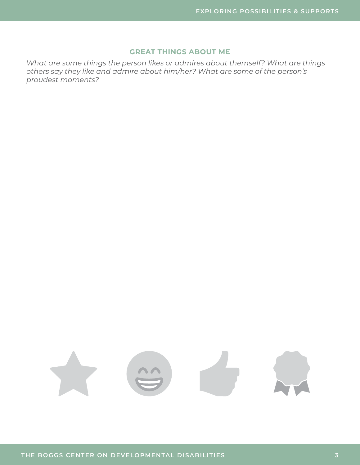#### **GREAT THINGS ABOUT ME**

*What are some things the person likes or admires about themself? What are things others say they like and admire about him/her? What are some of the person's proudest moments?*

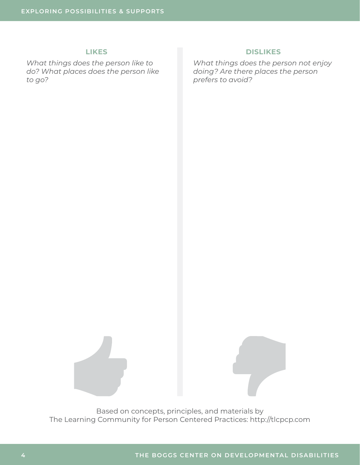#### **LIKES**

*What things does the person like to do? What places does the person like to go?*

#### **DISLIKES**

*What things does the person not enjoy doing? Are there places the person prefers to avoid?*

Based on concepts, principles, and materials by

The Learning Community for Person Centered Practices: http://tlcpcp.com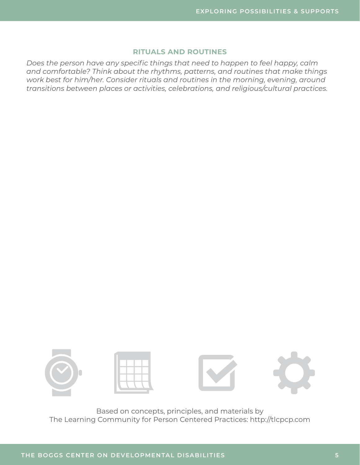#### **RITUALS AND ROUTINES**

*Does the person have any specific things that need to happen to feel happy, calm and comfortable? Think about the rhythms, patterns, and routines that make things work best for him/her. Consider rituals and routines in the morning, evening, around transitions between places or activities, celebrations, and religious/cultural practices.*

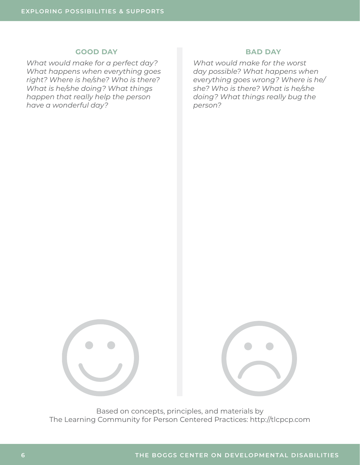#### **GOOD DAY**

*What would make for a perfect day? What happens when everything goes right? Where is he/she? Who is there? What is he/she doing? What things happen that really help the person have a wonderful day?*

#### **BAD DAY**

*What would make for the worst day possible? What happens when everything goes wrong? Where is he/ she? Who is there? What is he/she doing? What things really bug the person?*



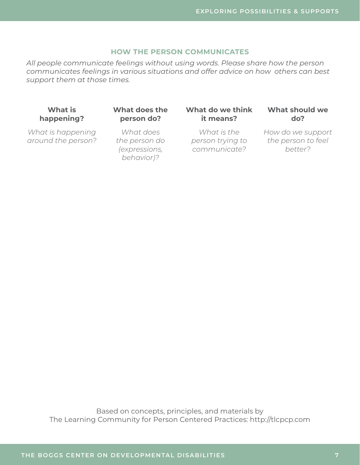#### **HOW THE PERSON COMMUNICATES**

*All people communicate feelings without using words. Please share how the person communicates feelings in various situations and offer advice on how others can best support them at those times.*

#### **What is happening?**

*What is happening around the person?* **What does the person do?**

*What does the person do (expressions, behavior)?*

#### **What do we think it means?**

*What is the person trying to communicate?*

#### **What should we do?**

*How do we support the person to feel better?*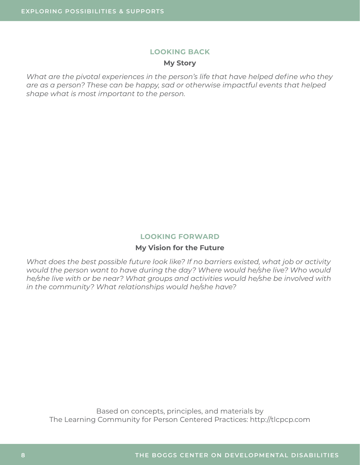#### **LOOKING BACK**

#### **My Story**

*What are the pivotal experiences in the person's life that have helped define who they are as a person? These can be happy, sad or otherwise impactful events that helped shape what is most important to the person.*

#### **LOOKING FORWARD**

#### **My Vision for the Future**

*What does the best possible future look like? If no barriers existed, what job or activity would the person want to have during the day? Where would he/she live? Who would he/she live with or be near? What groups and activities would he/she be involved with in the community? What relationships would he/she have?*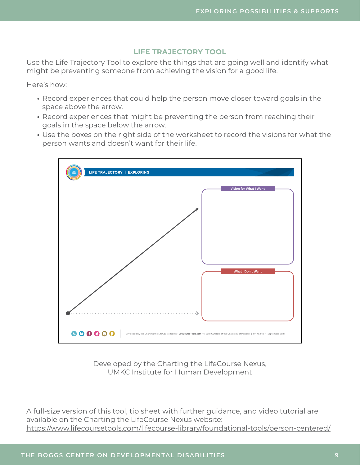#### **LIFE TRAJECTORY TOOL**

Use the Life Trajectory Tool to explore the things that are going well and identify what might be preventing someone from achieving the vision for a good life.

Here's how:

- **•** Record experiences that could help the person move closer toward goals in the space above the arrow.
- **•** Record experiences that might be preventing the person from reaching their goals in the space below the arrow.
- **•** Use the boxes on the right side of the worksheet to record the visions for what the person wants and doesn't want for their life.



Developed by the Charting the LifeCourse Nexus, UMKC Institute for Human Development

A full-size version of this tool, tip sheet with further guidance, and video tutorial are available on the Charting the LifeCourse Nexus website: <https://www.lifecoursetools.com/lifecourse-library/foundational-tools/person-centered/>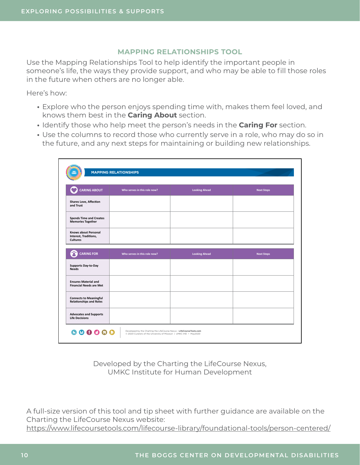#### **MAPPING RELATIONSHIPS TOOL**

Use the Mapping Relationships Tool to help identify the important people in someone's life, the ways they provide support, and who may be able to fill those roles in the future when others are no longer able.

Here's how:

- **•** Explore who the person enjoys spending time with, makes them feel loved, and knows them best in the **Caring About** section.
- **•** Identify those who help meet the person's needs in the **Caring For** section.
- **•** Use the columns to record those who currently serve in a role, who may do so in the future, and any next steps for maintaining or building new relationships.

| <b>CARING ABOUT</b>                                                     | Who serves in this role now? | <b>Looking Ahead</b> | <b>Next Steps</b> |
|-------------------------------------------------------------------------|------------------------------|----------------------|-------------------|
| <b>Shares Love, Affection</b><br>and Trust                              |                              |                      |                   |
| <b>Spends Time and Creates</b><br><b>Memories Together</b>              |                              |                      |                   |
| <b>Knows about Personal</b><br>Interest, Traditions,<br><b>Cultures</b> |                              |                      |                   |
|                                                                         |                              |                      |                   |
| ☎<br><b>CARING FOR</b>                                                  | Who serves in this role now? | <b>Looking Ahead</b> | <b>Next Steps</b> |
| <b>Supports Day-to-Day</b><br><b>Needs</b>                              |                              |                      |                   |
| <b>Ensures Material and</b><br><b>Financial Needs are Met</b>           |                              |                      |                   |
|                                                                         |                              |                      |                   |
| <b>Connects to Meaningful</b><br><b>Relationships and Roles</b>         |                              |                      |                   |

Developed by the Charting the LifeCourse Nexus, UMKC Institute for Human Development

A full-size version of this tool and tip sheet with further guidance are available on the Charting the LifeCourse Nexus website: <https://www.lifecoursetools.com/lifecourse-library/foundational-tools/person-centered/>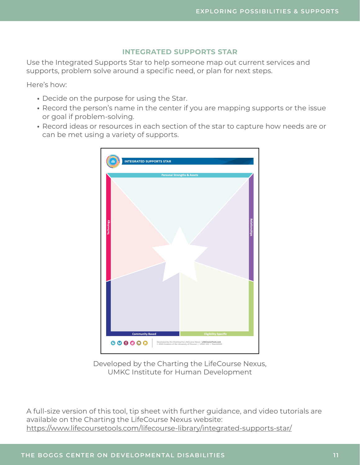#### **INTEGRATED SUPPORTS STAR**

Use the Integrated Supports Star to help someone map out current services and supports, problem solve around a specific need, or plan for next steps.

Here's how:

- **•** Decide on the purpose for using the Star.
- **•** Record the person's name in the center if you are mapping supports or the issue or goal if problem-solving.
- **•** Record ideas or resources in each section of the star to capture how needs are or can be met using a variety of supports.



Developed by the Charting the LifeCourse Nexus, UMKC Institute for Human Development

A full-size version of this tool, tip sheet with further guidance, and video tutorials are available on the Charting the LifeCourse Nexus website: <https://www.lifecoursetools.com/lifecourse-library/integrated-supports-star/>